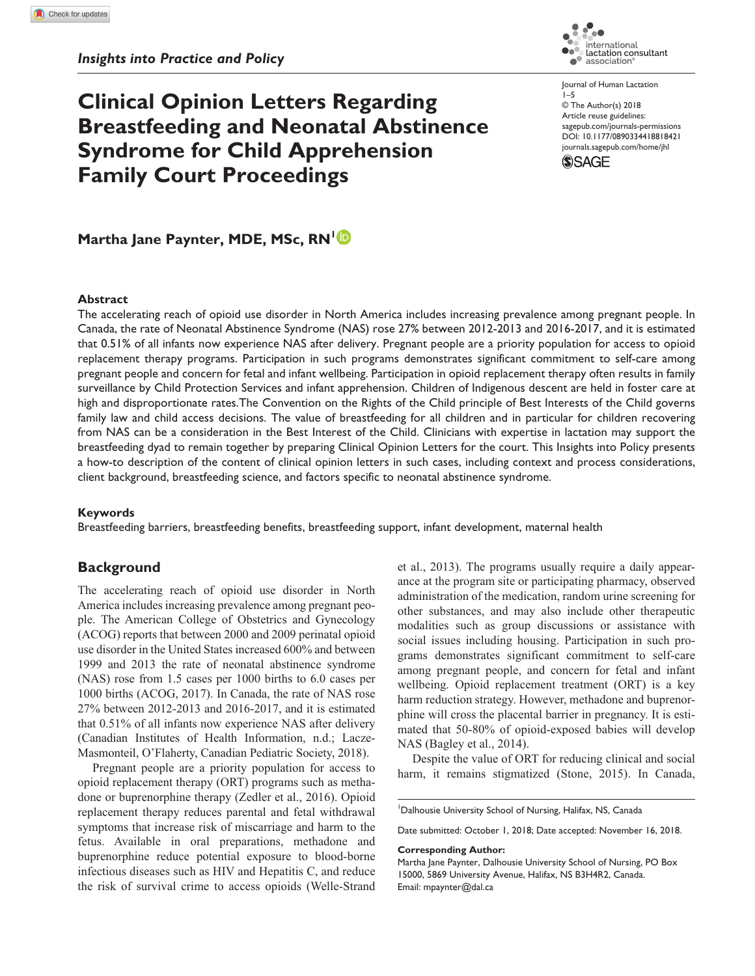# ternational International<br>Lactation consultant<br>association®  $\bullet^{\circ}$

#### Journal of Human Lactation 1–5 © The Author(s) 2018 Article reuse guidelines: [sagepub.com/journals-permissions](https://us.sagepub.com/en-us/journals-permissions) https://doi.org/10.1177/0890334418818421 DOI: 10.1177/0890334418818421 [journals.sagepub.com/home/jhl](https://journals.sagepub.com/home/jhl) **SSAGE**

**Martha Jane Paynter, MDE, MSc, RN<sup>1</sup>** 

**Family Court Proceedings**

**Clinical Opinion Letters Regarding** 

**Syndrome for Child Apprehension** 

**Breastfeeding and Neonatal Abstinence** 

### **Abstract**

The accelerating reach of opioid use disorder in North America includes increasing prevalence among pregnant people. In Canada, the rate of Neonatal Abstinence Syndrome (NAS) rose 27% between 2012-2013 and 2016-2017, and it is estimated that 0.51% of all infants now experience NAS after delivery. Pregnant people are a priority population for access to opioid replacement therapy programs. Participation in such programs demonstrates significant commitment to self-care among pregnant people and concern for fetal and infant wellbeing. Participation in opioid replacement therapy often results in family surveillance by Child Protection Services and infant apprehension. Children of Indigenous descent are held in foster care at high and disproportionate rates.The Convention on the Rights of the Child principle of Best Interests of the Child governs family law and child access decisions. The value of breastfeeding for all children and in particular for children recovering from NAS can be a consideration in the Best Interest of the Child. Clinicians with expertise in lactation may support the breastfeeding dyad to remain together by preparing Clinical Opinion Letters for the court. This Insights into Policy presents a how-to description of the content of clinical opinion letters in such cases, including context and process considerations, client background, breastfeeding science, and factors specific to neonatal abstinence syndrome.

#### **Keywords**

Breastfeeding barriers, breastfeeding benefits, breastfeeding support, infant development, maternal health

### **Background**

The accelerating reach of opioid use disorder in North America includes increasing prevalence among pregnant people. The American College of Obstetrics and Gynecology (ACOG) reports that between 2000 and 2009 perinatal opioid use disorder in the United States increased 600% and between 1999 and 2013 the rate of neonatal abstinence syndrome (NAS) rose from 1.5 cases per 1000 births to 6.0 cases per 1000 births (ACOG, 2017). In Canada, the rate of NAS rose 27% between 2012-2013 and 2016-2017, and it is estimated that 0.51% of all infants now experience NAS after delivery (Canadian Institutes of Health Information, n.d.; Lacze-Masmonteil, O'Flaherty, Canadian Pediatric Society, 2018).

Pregnant people are a priority population for access to opioid replacement therapy (ORT) programs such as methadone or buprenorphine therapy (Zedler et al., 2016). Opioid replacement therapy reduces parental and fetal withdrawal symptoms that increase risk of miscarriage and harm to the fetus. Available in oral preparations, methadone and buprenorphine reduce potential exposure to blood-borne infectious diseases such as HIV and Hepatitis C, and reduce the risk of survival crime to access opioids (Welle-Strand

et al., 2013). The programs usually require a daily appearance at the program site or participating pharmacy, observed administration of the medication, random urine screening for other substances, and may also include other therapeutic modalities such as group discussions or assistance with social issues including housing. Participation in such programs demonstrates significant commitment to self-care among pregnant people, and concern for fetal and infant wellbeing. Opioid replacement treatment (ORT) is a key harm reduction strategy. However, methadone and buprenorphine will cross the placental barrier in pregnancy. It is estimated that 50-80% of opioid-exposed babies will develop NAS (Bagley et al., 2014).

Despite the value of ORT for reducing clinical and social harm, it remains stigmatized (Stone, 2015). In Canada,

Date submitted: October 1, 2018; Date accepted: November 16, 2018.

#### **Corresponding Author:**

<sup>&</sup>lt;sup>1</sup>Dalhousie University School of Nursing, Halifax, NS, Canada

Martha Jane Paynter, Dalhousie University School of Nursing, PO Box 15000, 5869 University Avenue, Halifax, NS B3H4R2, Canada. Email: [mpaynter@dal.ca](mailto:mpaynter@dal.ca)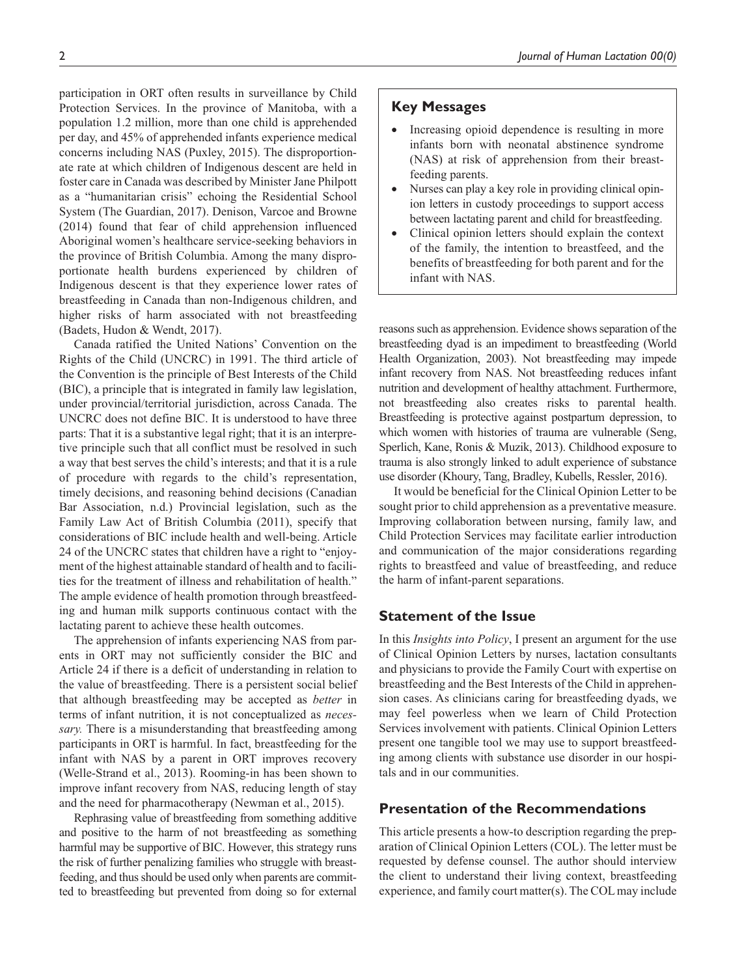participation in ORT often results in surveillance by Child Protection Services. In the province of Manitoba, with a population 1.2 million, more than one child is apprehended per day, and 45% of apprehended infants experience medical concerns including NAS (Puxley, 2015). The disproportionate rate at which children of Indigenous descent are held in foster care in Canada was described by Minister Jane Philpott as a "humanitarian crisis" echoing the Residential School System (The Guardian, 2017). Denison, Varcoe and Browne (2014) found that fear of child apprehension influenced Aboriginal women's healthcare service-seeking behaviors in the province of British Columbia. Among the many disproportionate health burdens experienced by children of Indigenous descent is that they experience lower rates of breastfeeding in Canada than non-Indigenous children, and higher risks of harm associated with not breastfeeding (Badets, Hudon & Wendt, 2017).

Canada ratified the United Nations' Convention on the Rights of the Child (UNCRC) in 1991. The third article of the Convention is the principle of Best Interests of the Child (BIC), a principle that is integrated in family law legislation, under provincial/territorial jurisdiction, across Canada. The UNCRC does not define BIC. It is understood to have three parts: That it is a substantive legal right; that it is an interpretive principle such that all conflict must be resolved in such a way that best serves the child's interests; and that it is a rule of procedure with regards to the child's representation, timely decisions, and reasoning behind decisions (Canadian Bar Association, n.d.) Provincial legislation, such as the Family Law Act of British Columbia (2011), specify that considerations of BIC include health and well-being. Article 24 of the UNCRC states that children have a right to "enjoyment of the highest attainable standard of health and to facilities for the treatment of illness and rehabilitation of health." The ample evidence of health promotion through breastfeeding and human milk supports continuous contact with the lactating parent to achieve these health outcomes.

The apprehension of infants experiencing NAS from parents in ORT may not sufficiently consider the BIC and Article 24 if there is a deficit of understanding in relation to the value of breastfeeding. There is a persistent social belief that although breastfeeding may be accepted as *better* in terms of infant nutrition, it is not conceptualized as *necessary.* There is a misunderstanding that breastfeeding among participants in ORT is harmful. In fact, breastfeeding for the infant with NAS by a parent in ORT improves recovery (Welle-Strand et al., 2013). Rooming-in has been shown to improve infant recovery from NAS, reducing length of stay and the need for pharmacotherapy (Newman et al., 2015).

Rephrasing value of breastfeeding from something additive and positive to the harm of not breastfeeding as something harmful may be supportive of BIC. However, this strategy runs the risk of further penalizing families who struggle with breastfeeding, and thus should be used only when parents are committed to breastfeeding but prevented from doing so for external

# **Key Messages**

- Increasing opioid dependence is resulting in more infants born with neonatal abstinence syndrome (NAS) at risk of apprehension from their breastfeeding parents.
- Nurses can play a key role in providing clinical opinion letters in custody proceedings to support access between lactating parent and child for breastfeeding.
- Clinical opinion letters should explain the context of the family, the intention to breastfeed, and the benefits of breastfeeding for both parent and for the infant with NAS.

reasons such as apprehension. Evidence shows separation of the breastfeeding dyad is an impediment to breastfeeding (World Health Organization, 2003). Not breastfeeding may impede infant recovery from NAS. Not breastfeeding reduces infant nutrition and development of healthy attachment. Furthermore, not breastfeeding also creates risks to parental health. Breastfeeding is protective against postpartum depression, to which women with histories of trauma are vulnerable (Seng, Sperlich, Kane, Ronis & Muzik, 2013). Childhood exposure to trauma is also strongly linked to adult experience of substance use disorder (Khoury, Tang, Bradley, Kubells, Ressler, 2016).

It would be beneficial for the Clinical Opinion Letter to be sought prior to child apprehension as a preventative measure. Improving collaboration between nursing, family law, and Child Protection Services may facilitate earlier introduction and communication of the major considerations regarding rights to breastfeed and value of breastfeeding, and reduce the harm of infant-parent separations.

### **Statement of the Issue**

In this *Insights into Policy*, I present an argument for the use of Clinical Opinion Letters by nurses, lactation consultants and physicians to provide the Family Court with expertise on breastfeeding and the Best Interests of the Child in apprehension cases. As clinicians caring for breastfeeding dyads, we may feel powerless when we learn of Child Protection Services involvement with patients. Clinical Opinion Letters present one tangible tool we may use to support breastfeeding among clients with substance use disorder in our hospitals and in our communities.

## **Presentation of the Recommendations**

This article presents a how-to description regarding the preparation of Clinical Opinion Letters (COL). The letter must be requested by defense counsel. The author should interview the client to understand their living context, breastfeeding experience, and family court matter(s). The COL may include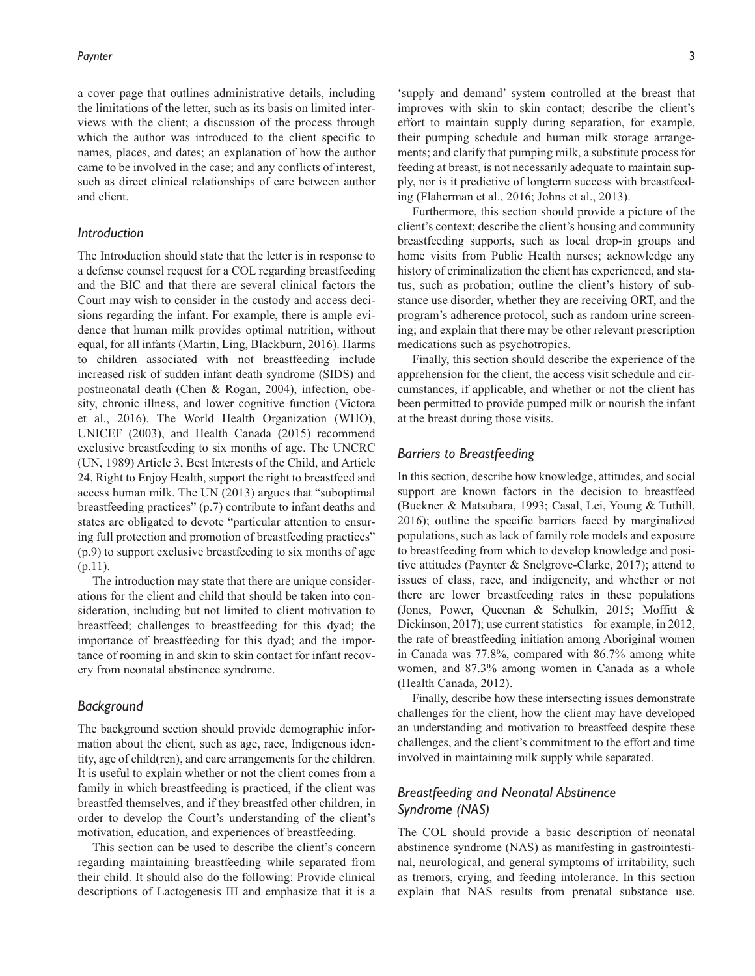a cover page that outlines administrative details, including the limitations of the letter, such as its basis on limited interviews with the client; a discussion of the process through which the author was introduced to the client specific to names, places, and dates; an explanation of how the author came to be involved in the case; and any conflicts of interest, such as direct clinical relationships of care between author and client.

### *Introduction*

The Introduction should state that the letter is in response to a defense counsel request for a COL regarding breastfeeding and the BIC and that there are several clinical factors the Court may wish to consider in the custody and access decisions regarding the infant. For example, there is ample evidence that human milk provides optimal nutrition, without equal, for all infants (Martin, Ling, Blackburn, 2016). Harms to children associated with not breastfeeding include increased risk of sudden infant death syndrome (SIDS) and postneonatal death (Chen & Rogan, 2004), infection, obesity, chronic illness, and lower cognitive function (Victora et al., 2016). The World Health Organization (WHO), UNICEF (2003), and Health Canada (2015) recommend exclusive breastfeeding to six months of age. The UNCRC (UN, 1989) Article 3, Best Interests of the Child, and Article 24, Right to Enjoy Health, support the right to breastfeed and access human milk. The UN (2013) argues that "suboptimal breastfeeding practices" (p.7) contribute to infant deaths and states are obligated to devote "particular attention to ensuring full protection and promotion of breastfeeding practices" (p.9) to support exclusive breastfeeding to six months of age (p.11).

The introduction may state that there are unique considerations for the client and child that should be taken into consideration, including but not limited to client motivation to breastfeed; challenges to breastfeeding for this dyad; the importance of breastfeeding for this dyad; and the importance of rooming in and skin to skin contact for infant recovery from neonatal abstinence syndrome.

### *Background*

The background section should provide demographic information about the client, such as age, race, Indigenous identity, age of child(ren), and care arrangements for the children. It is useful to explain whether or not the client comes from a family in which breastfeeding is practiced, if the client was breastfed themselves, and if they breastfed other children, in order to develop the Court's understanding of the client's motivation, education, and experiences of breastfeeding.

This section can be used to describe the client's concern regarding maintaining breastfeeding while separated from their child. It should also do the following: Provide clinical descriptions of Lactogenesis III and emphasize that it is a

'supply and demand' system controlled at the breast that improves with skin to skin contact; describe the client's effort to maintain supply during separation, for example, their pumping schedule and human milk storage arrangements; and clarify that pumping milk, a substitute process for feeding at breast, is not necessarily adequate to maintain supply, nor is it predictive of longterm success with breastfeeding (Flaherman et al., 2016; Johns et al., 2013).

Furthermore, this section should provide a picture of the client's context; describe the client's housing and community breastfeeding supports, such as local drop-in groups and home visits from Public Health nurses; acknowledge any history of criminalization the client has experienced, and status, such as probation; outline the client's history of substance use disorder, whether they are receiving ORT, and the program's adherence protocol, such as random urine screening; and explain that there may be other relevant prescription medications such as psychotropics.

Finally, this section should describe the experience of the apprehension for the client, the access visit schedule and circumstances, if applicable, and whether or not the client has been permitted to provide pumped milk or nourish the infant at the breast during those visits.

### *Barriers to Breastfeeding*

In this section, describe how knowledge, attitudes, and social support are known factors in the decision to breastfeed (Buckner & Matsubara, 1993; Casal, Lei, Young & Tuthill, 2016); outline the specific barriers faced by marginalized populations, such as lack of family role models and exposure to breastfeeding from which to develop knowledge and positive attitudes (Paynter & Snelgrove-Clarke, 2017); attend to issues of class, race, and indigeneity, and whether or not there are lower breastfeeding rates in these populations (Jones, Power, Queenan & Schulkin, 2015; Moffitt & Dickinson, 2017); use current statistics – for example, in 2012, the rate of breastfeeding initiation among Aboriginal women in Canada was 77.8%, compared with 86.7% among white women, and 87.3% among women in Canada as a whole (Health Canada, 2012).

Finally, describe how these intersecting issues demonstrate challenges for the client, how the client may have developed an understanding and motivation to breastfeed despite these challenges, and the client's commitment to the effort and time involved in maintaining milk supply while separated.

## *Breastfeeding and Neonatal Abstinence Syndrome (NAS)*

The COL should provide a basic description of neonatal abstinence syndrome (NAS) as manifesting in gastrointestinal, neurological, and general symptoms of irritability, such as tremors, crying, and feeding intolerance. In this section explain that NAS results from prenatal substance use.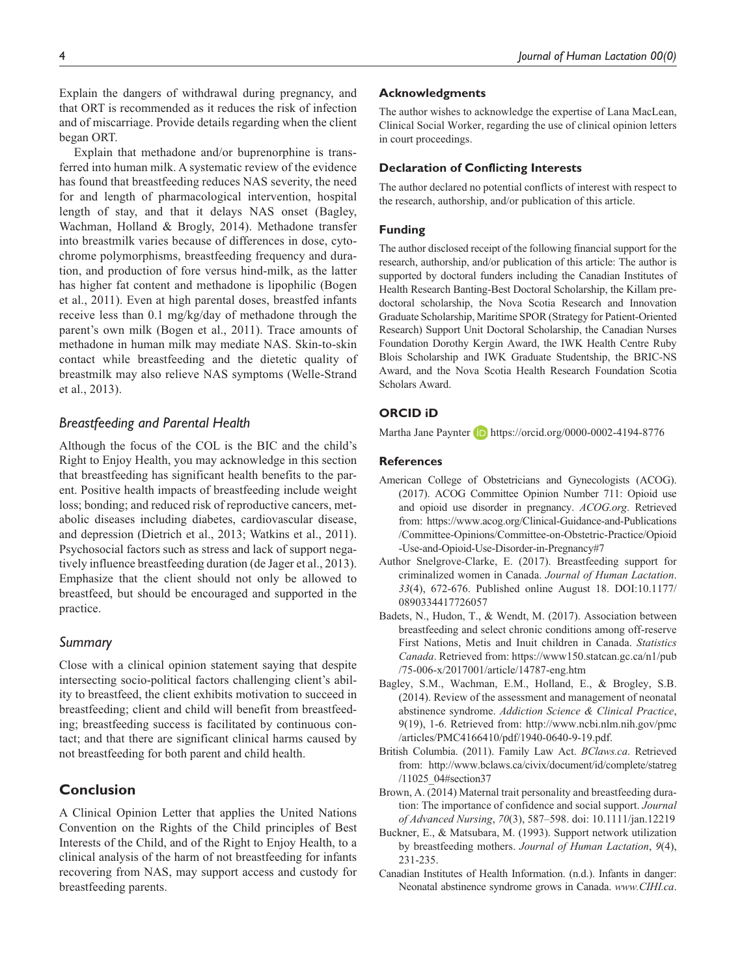that ORT is recommended as it reduces the risk of infection and of miscarriage. Provide details regarding when the client began ORT.

Explain that methadone and/or buprenorphine is transferred into human milk. A systematic review of the evidence has found that breastfeeding reduces NAS severity, the need for and length of pharmacological intervention, hospital length of stay, and that it delays NAS onset (Bagley, Wachman, Holland & Brogly, 2014). Methadone transfer into breastmilk varies because of differences in dose, cytochrome polymorphisms, breastfeeding frequency and duration, and production of fore versus hind-milk, as the latter has higher fat content and methadone is lipophilic (Bogen et al., 2011). Even at high parental doses, breastfed infants receive less than 0.1 mg/kg/day of methadone through the parent's own milk (Bogen et al., 2011). Trace amounts of methadone in human milk may mediate NAS. Skin-to-skin contact while breastfeeding and the dietetic quality of breastmilk may also relieve NAS symptoms (Welle-Strand et al., 2013).

### *Breastfeeding and Parental Health*

Although the focus of the COL is the BIC and the child's Right to Enjoy Health, you may acknowledge in this section that breastfeeding has significant health benefits to the parent. Positive health impacts of breastfeeding include weight loss; bonding; and reduced risk of reproductive cancers, metabolic diseases including diabetes, cardiovascular disease, and depression (Dietrich et al., 2013; Watkins et al., 2011). Psychosocial factors such as stress and lack of support negatively influence breastfeeding duration (de Jager et al., 2013). Emphasize that the client should not only be allowed to breastfeed, but should be encouraged and supported in the practice.

### *Summary*

Close with a clinical opinion statement saying that despite intersecting socio-political factors challenging client's ability to breastfeed, the client exhibits motivation to succeed in breastfeeding; client and child will benefit from breastfeeding; breastfeeding success is facilitated by continuous contact; and that there are significant clinical harms caused by not breastfeeding for both parent and child health.

# **Conclusion**

A Clinical Opinion Letter that applies the United Nations Convention on the Rights of the Child principles of Best Interests of the Child, and of the Right to Enjoy Health, to a clinical analysis of the harm of not breastfeeding for infants recovering from NAS, may support access and custody for breastfeeding parents.

### 4 *Journal of Human Lactation 00(0)*

The author wishes to acknowledge the expertise of Lana MacLean, Clinical Social Worker, regarding the use of clinical opinion letters in court proceedings.

#### **Declaration of Conflicting Interests**

The author declared no potential conflicts of interest with respect to the research, authorship, and/or publication of this article.

#### **Funding**

The author disclosed receipt of the following financial support for the research, authorship, and/or publication of this article: The author is supported by doctoral funders including the Canadian Institutes of Health Research Banting-Best Doctoral Scholarship, the Killam predoctoral scholarship, the Nova Scotia Research and Innovation Graduate Scholarship, Maritime SPOR (Strategy for Patient-Oriented Research) Support Unit Doctoral Scholarship, the Canadian Nurses Foundation Dorothy Kergin Award, the IWK Health Centre Ruby Blois Scholarship and IWK Graduate Studentship, the BRIC-NS Award, and the Nova Scotia Health Research Foundation Scotia Scholars Award.

### **ORCID iD**

Martha Jane Paynter **iD** <https://orcid.org/0000-0002-4194-8776>

#### **References**

- American College of Obstetricians and Gynecologists (ACOG). (2017). ACOG Committee Opinion Number 711: Opioid use and opioid use disorder in pregnancy. *ACOG.org*. Retrieved from: [https://www.acog.org/Clinical-Guidance-and-Publications](https://www.acog.org/Clinical-Guidance-and-Publications/Committee-Opinions/Committee-on-Obstetric-Practice/Opioid-Use-and-Opioid-Use-Disorder-in-Pregnancy#7) [/Committee-Opinions/Committee-on-Obstetric-Practice/Opioid](https://www.acog.org/Clinical-Guidance-and-Publications/Committee-Opinions/Committee-on-Obstetric-Practice/Opioid-Use-and-Opioid-Use-Disorder-in-Pregnancy#7) [-Use-and-Opioid-Use-Disorder-in-Pregnancy#7](https://www.acog.org/Clinical-Guidance-and-Publications/Committee-Opinions/Committee-on-Obstetric-Practice/Opioid-Use-and-Opioid-Use-Disorder-in-Pregnancy#7)
- Author Snelgrove-Clarke, E. (2017). Breastfeeding support for criminalized women in Canada. *Journal of Human Lactation*. *33*(4), 672-676. Published online August 18. DOI:10.1177/ 0890334417726057
- Badets, N., Hudon, T., & Wendt, M. (2017). Association between breastfeeding and select chronic conditions among off-reserve First Nations, Metis and Inuit children in Canada. *Statistics Canada*. Retrieved from: [https://www150.statcan.gc.ca/n1/pub](https://www150.statcan.gc.ca/n1/pub/75-006-x/2017001/article/14787-eng.htm) [/75-006-x/2017001/article/14787-eng.htm](https://www150.statcan.gc.ca/n1/pub/75-006-x/2017001/article/14787-eng.htm)
- Bagley, S.M., Wachman, E.M., Holland, E., & Brogley, S.B. (2014). Review of the assessment and management of neonatal abstinence syndrome. *Addiction Science & Clinical Practice*, 9(19), 1-6. Retrieved from: [http://www.ncbi.nlm.nih.gov/pmc](http://www.ncbi.nlm.nih.gov/pmc/articles/PMC4166410/pdf/1940-0640-9-19.pdf) [/articles/PMC4166410/pdf/1940-0640-9-19.pdf.](http://www.ncbi.nlm.nih.gov/pmc/articles/PMC4166410/pdf/1940-0640-9-19.pdf)
- British Columbia. (2011). Family Law Act. *BClaws.ca*. Retrieved from: [http://www.bclaws.ca/civix/document/id/complete/statreg](http://www.bclaws.ca/civix/document/id/complete/statreg/11025_04#section37) [/11025\\_04#section37](http://www.bclaws.ca/civix/document/id/complete/statreg/11025_04#section37)
- Brown, A. (2014) Maternal trait personality and breastfeeding duration: The importance of confidence and social support. *Journal of Advanced Nursing*, *70*(3), 587–598. doi: 10.1111/jan.12219
- Buckner, E., & Matsubara, M. (1993). Support network utilization by breastfeeding mothers. *Journal of Human Lactation*, *9*(4), 231-235.
- Canadian Institutes of Health Information. (n.d.). Infants in danger: Neonatal abstinence syndrome grows in Canada. *<www.CIHI.ca>*.